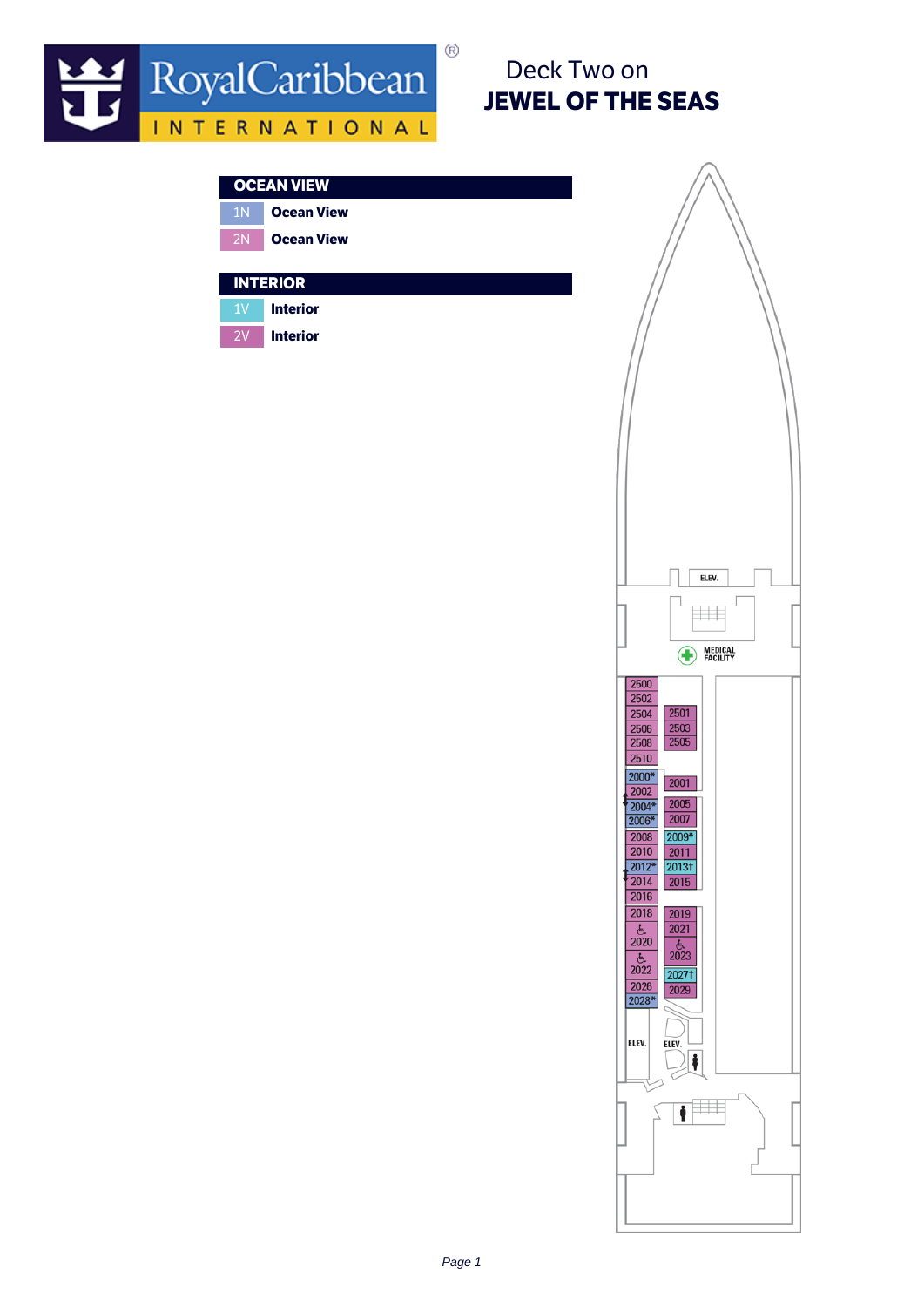

# Deck Two on JEWEL OF THE SEAS

### OCEAN VIEW

1N Ocean View 2N **Ocean View** 

### **INTERIOR**

1V Interior

2V Interior

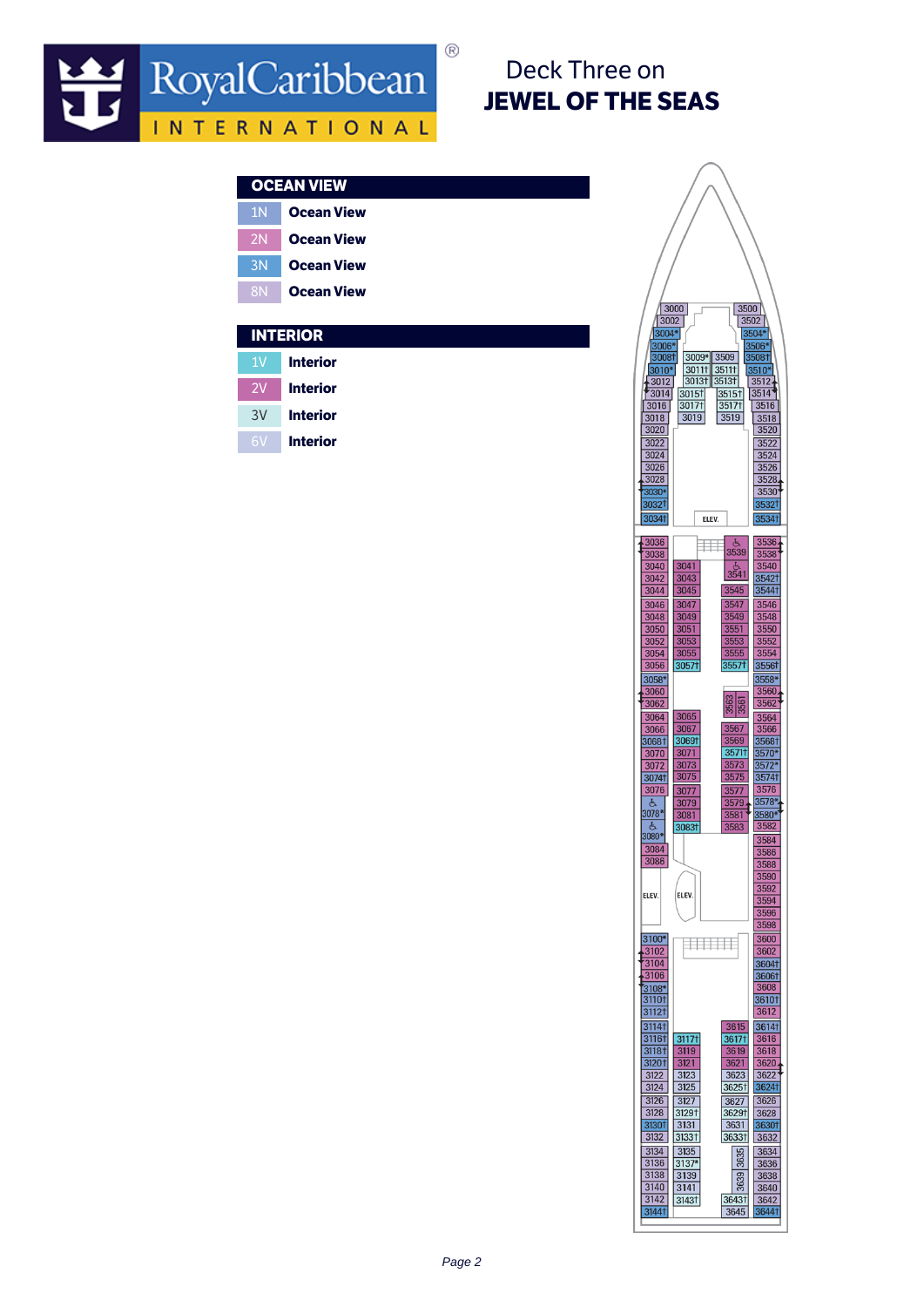

# Deck Three on JEWEL OF THE SEAS

|                | <b>OCEAN VIEW</b> |  |
|----------------|-------------------|--|
| 1 <sub>N</sub> | <b>Ocean View</b> |  |
| 2N             | <b>Ocean View</b> |  |
| 3N             | <b>Ocean View</b> |  |
| <b>8N</b>      | <b>Ocean View</b> |  |
|                |                   |  |
|                |                   |  |
|                | <b>INTERIOR</b>   |  |
| 1V             | <b>Interior</b>   |  |
| 2V             | <b>Interior</b>   |  |
| 3V             | <b>Interior</b>   |  |
| 6V             | <b>Interior</b>   |  |

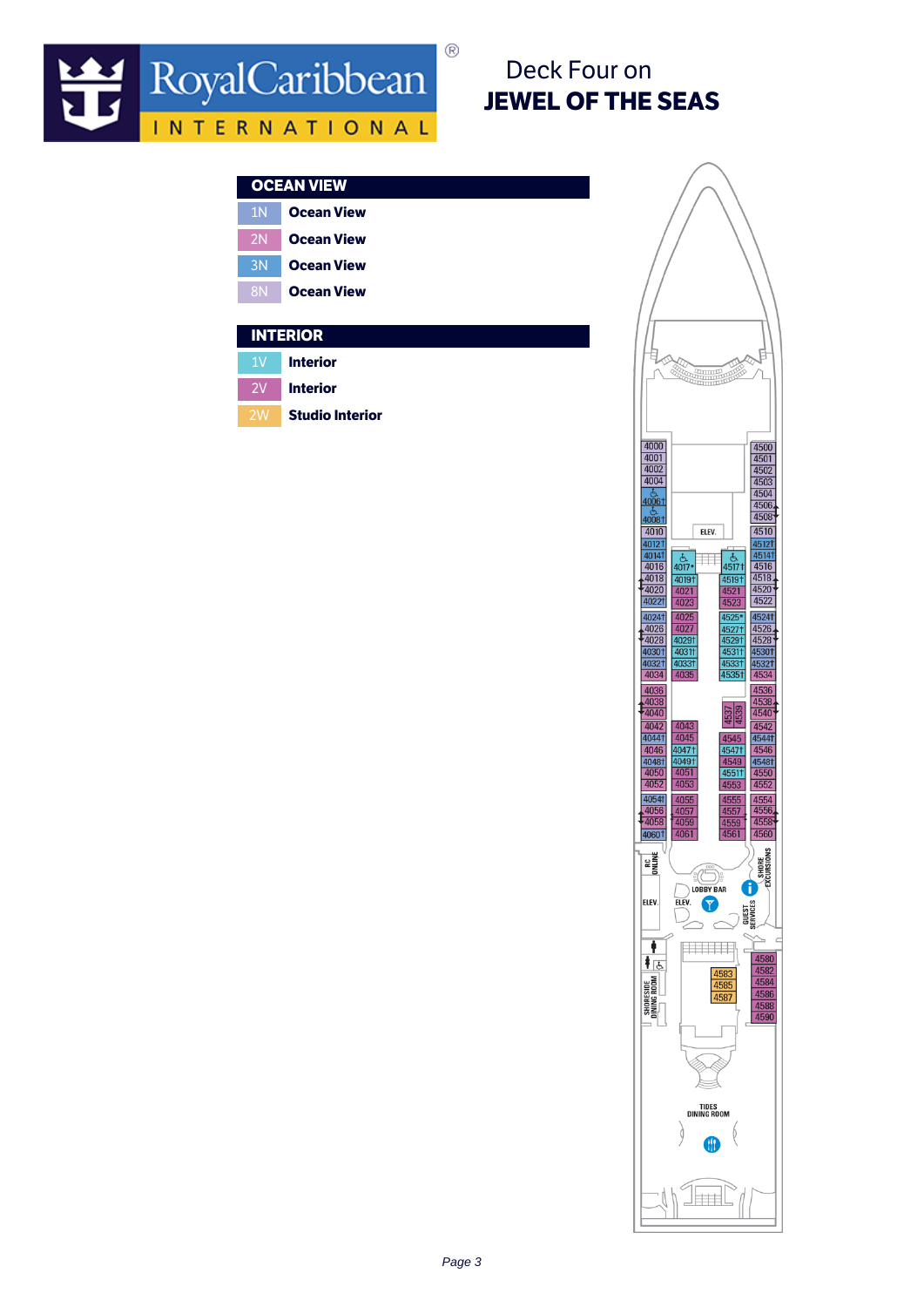

# Deck Four on JEWEL OF THE SEAS

|                 | <b>OCEAN VIEW</b> |  |
|-----------------|-------------------|--|
| 1 <sup>N</sup>  | <b>Ocean View</b> |  |
| 2N              | <b>Ocean View</b> |  |
| 3N              | <b>Ocean View</b> |  |
| <b>8N</b>       | <b>Ocean View</b> |  |
|                 |                   |  |
| <b>INTERIOR</b> |                   |  |
| 1V              | <b>Interior</b>   |  |
| 2V              | <b>Interior</b>   |  |

**Studio Interior** 

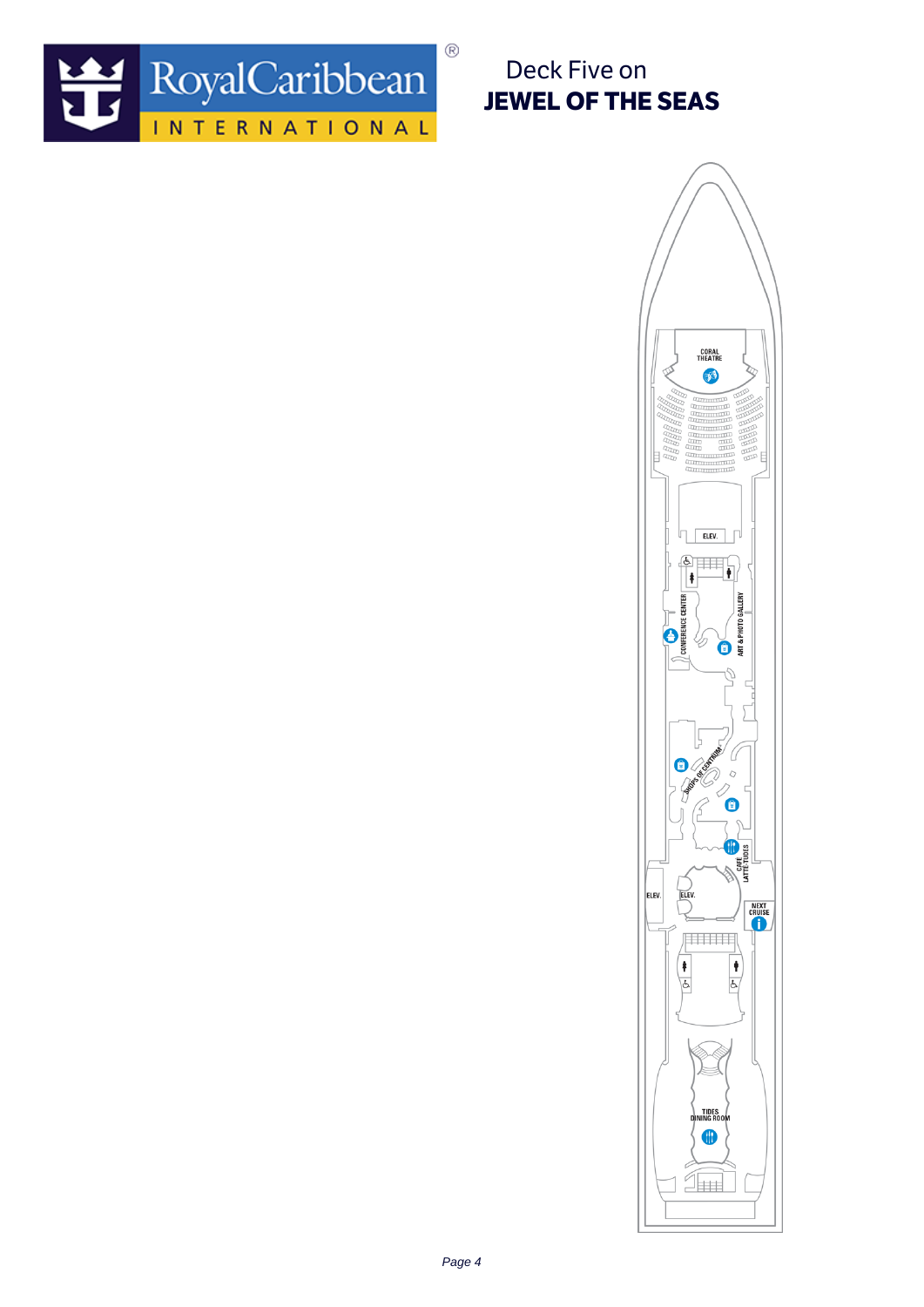

Deck Five on JEWEL OF THE SEAS

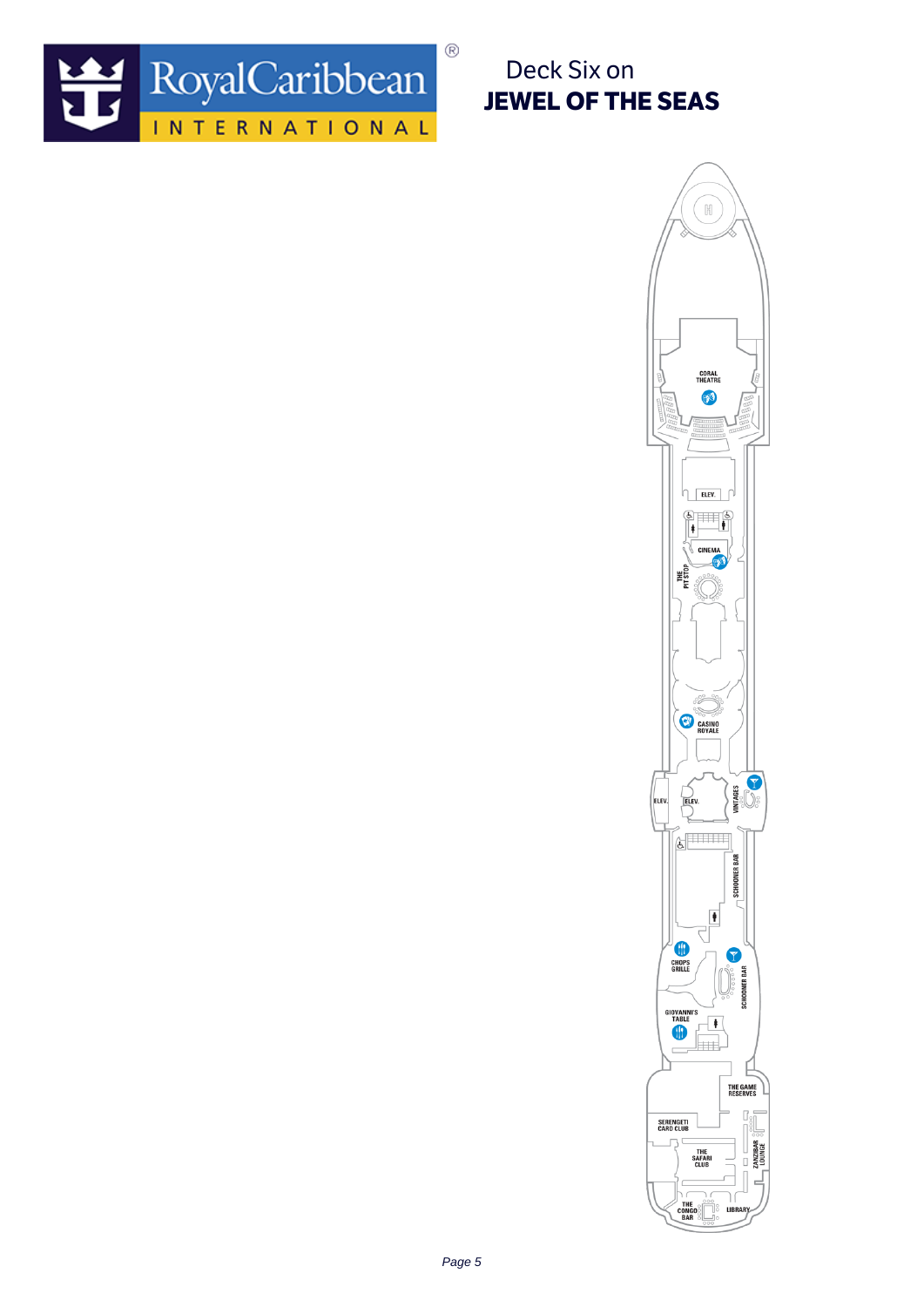

Deck Six on JEWEL OF THE SEAS

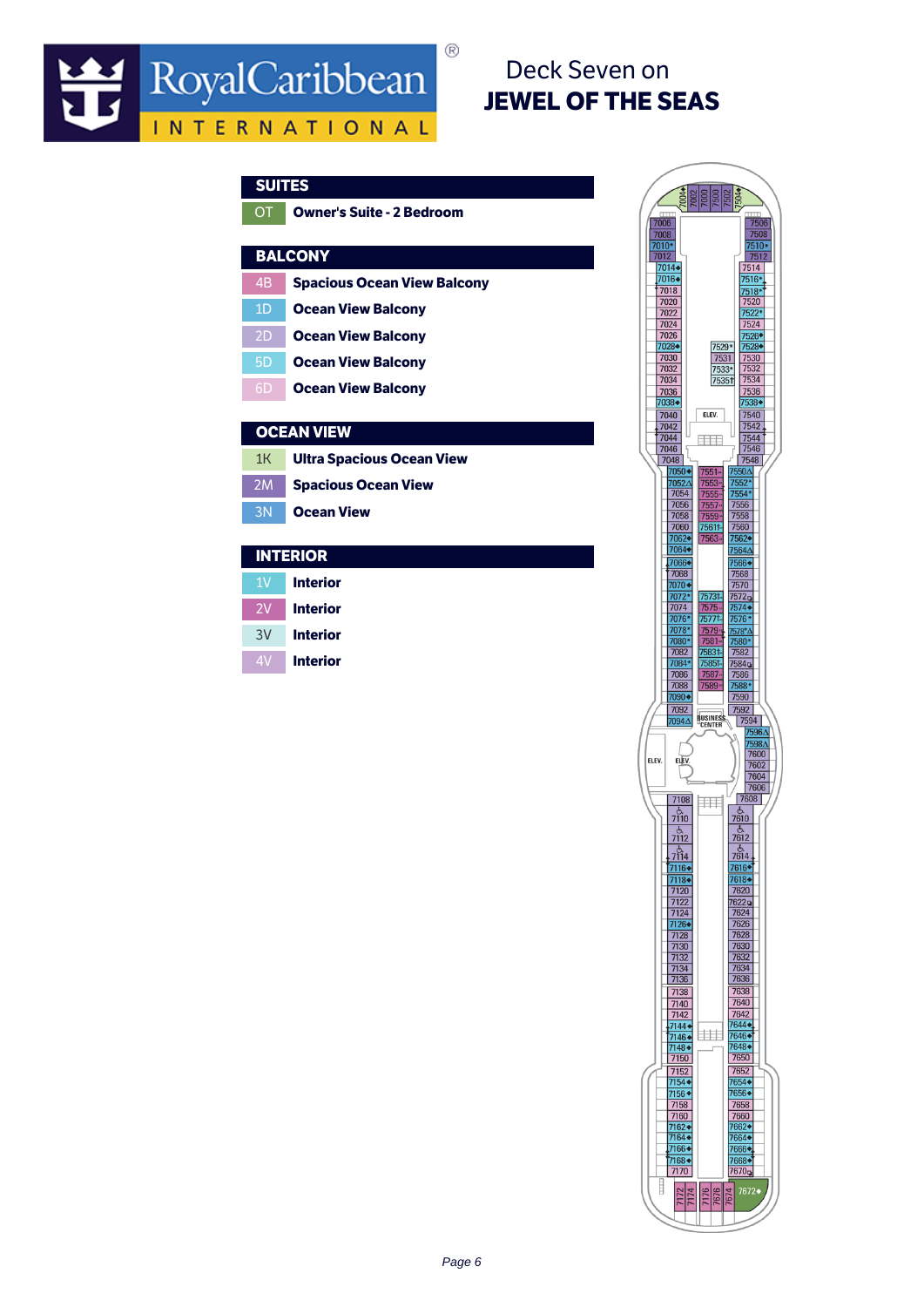## Deck Seven on JEWEL OF THE SEAS

| <b>SUITES</b> |                                    |   |
|---------------|------------------------------------|---|
| OT            | <b>Owner's Suite - 2 Bedroom</b>   |   |
|               |                                    |   |
|               | <b>BALCONY</b>                     |   |
| 4B            | <b>Spacious Ocean View Balcony</b> |   |
| 1D            | <b>Ocean View Balcony</b>          |   |
| 2D            | <b>Ocean View Balcony</b>          |   |
| 5D            | <b>Ocean View Balcony</b>          |   |
| 6D            | <b>Ocean View Balcony</b>          |   |
|               | <b>OCEAN VIEW</b>                  |   |
|               |                                    |   |
| 1K            | <b>Ultra Spacious Ocean View</b>   |   |
| 2M            | <b>Spacious Ocean View</b>         |   |
| 3N            | <b>Ocean View</b>                  |   |
|               | <b>INTERIOR</b>                    |   |
| 1V            | <b>Interior</b>                    |   |
| 2V            | <b>Interior</b>                    |   |
| 3V            | <b>Interior</b>                    |   |
| 4V            | <b>Interior</b>                    |   |
|               |                                    |   |
|               |                                    |   |
|               |                                    |   |
|               |                                    | E |
|               |                                    |   |
|               |                                    |   |
|               |                                    |   |
|               |                                    |   |
|               |                                    |   |
|               |                                    |   |
|               |                                    |   |
|               |                                    |   |
|               |                                    |   |

 $^{\circledR}$ 

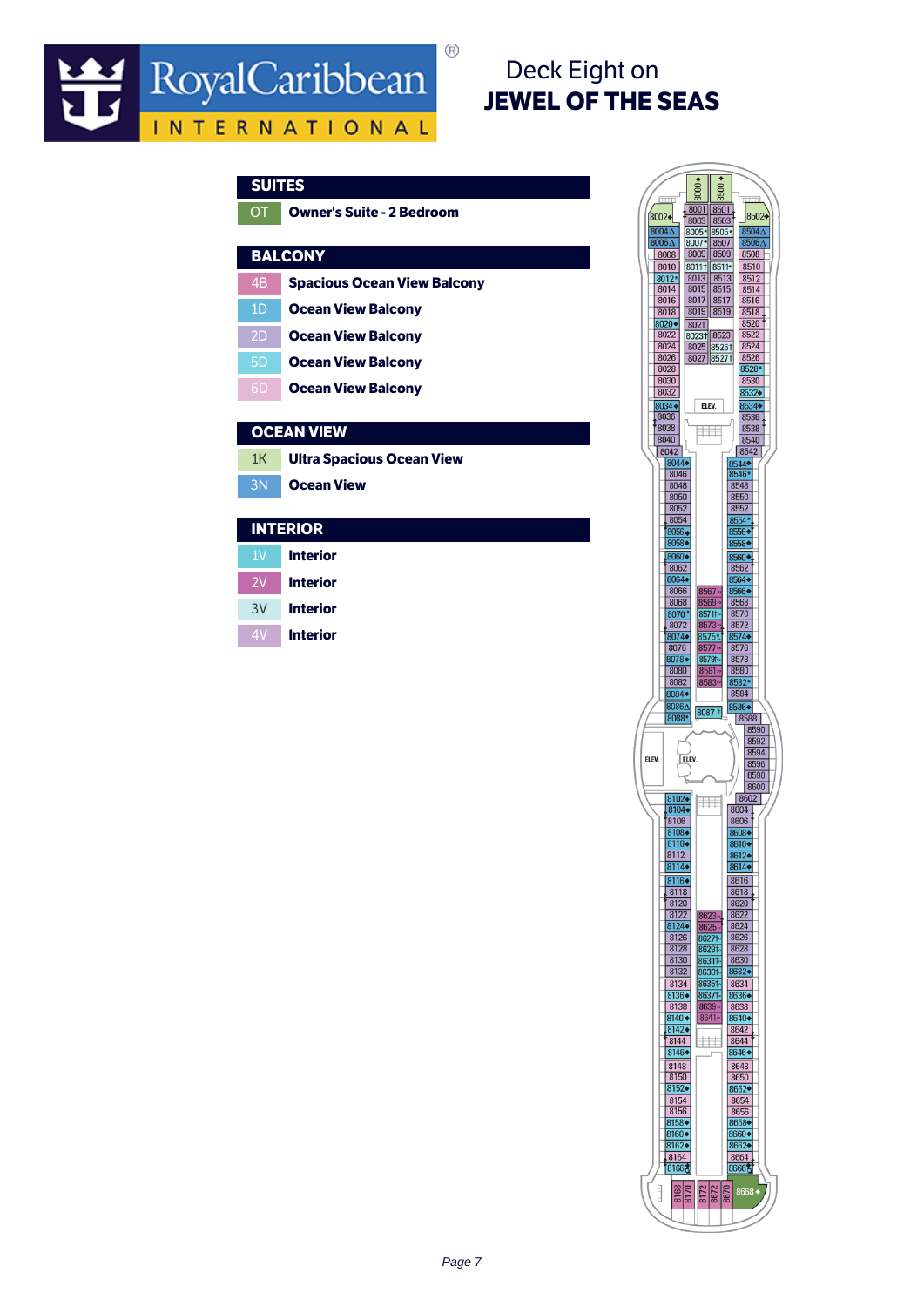# Deck Eight on JEWEL OF THE SEAS

|                | JUI LJ                             |  |
|----------------|------------------------------------|--|
| ОT             | <b>Owner's Suite - 2 Bedroom</b>   |  |
|                | <b>BALCONY</b>                     |  |
| 4B             | <b>Spacious Ocean View Balcony</b> |  |
| 1 <sub>D</sub> | <b>Ocean View Balcony</b>          |  |
| 2D             | <b>Ocean View Balcony</b>          |  |
| 5 <sub>D</sub> | <b>Ocean View Balcony</b>          |  |
| 6 <sub>D</sub> | <b>Ocean View Balcony</b>          |  |
| ллг а          | ואו                                |  |
|                |                                    |  |

 $\circledR$ 

### CEAN VIEW

| 1K Ultra Spacious Ocean View |
|------------------------------|
| <b>3N Ocean View</b>         |

### **INTERIOR**

| 1 V | <b>Interior</b> |
|-----|-----------------|
| 7V  | <b>Interior</b> |
| 3V  | <b>Interior</b> |
| ΔV  | <b>Interior</b> |

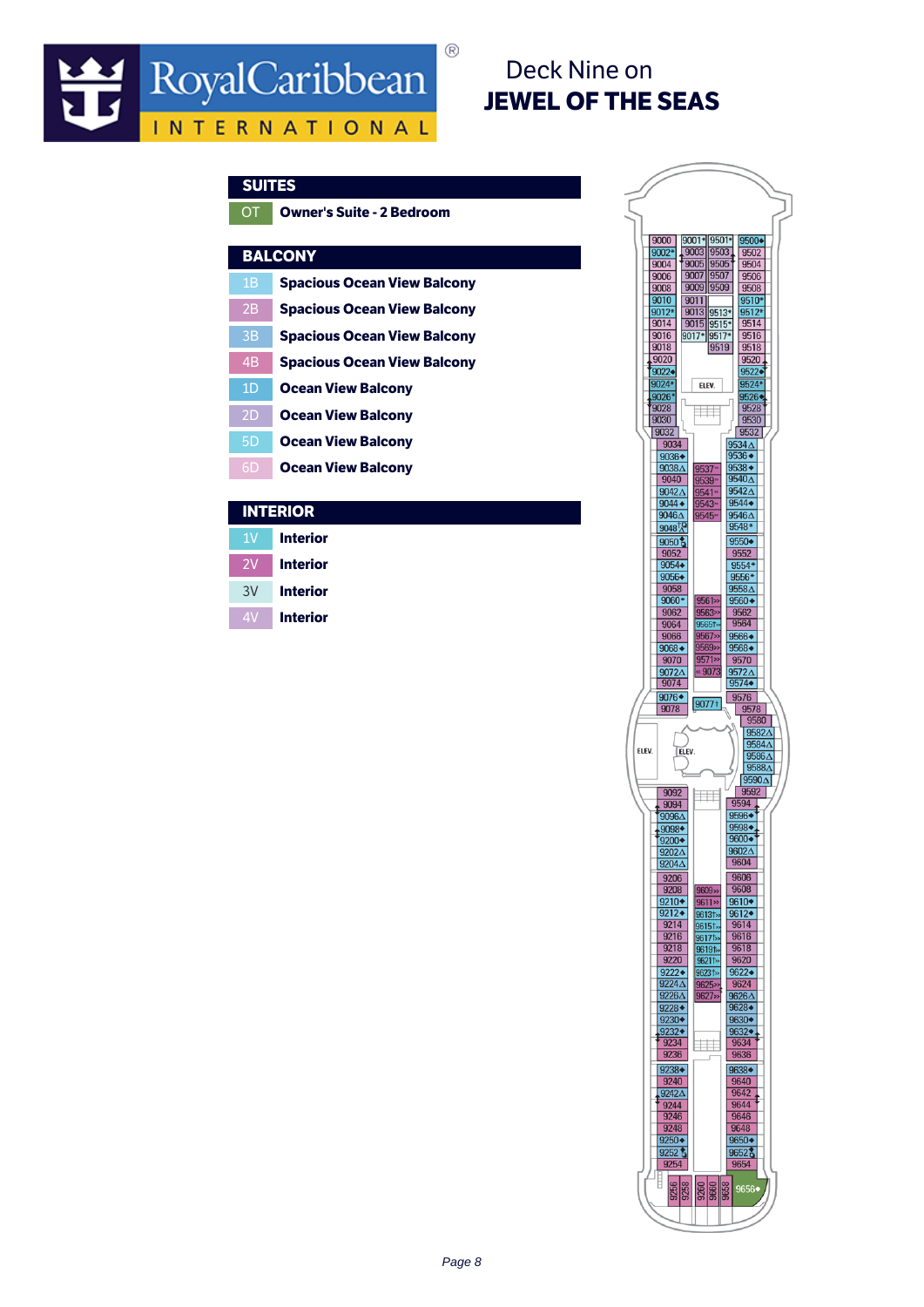## Deck Nine on JEWEL OF THE SEAS

|                | -----                              |
|----------------|------------------------------------|
| OT             | <b>Owner's Suite - 2 Bedroom</b>   |
|                |                                    |
|                | <b>BALCONY</b>                     |
| 1Β             | <b>Spacious Ocean View Balcony</b> |
| 2B             | <b>Spacious Ocean View Balcony</b> |
| 3B             | <b>Spacious Ocean View Balcony</b> |
| 4 <sub>B</sub> | <b>Spacious Ocean View Balcony</b> |
| 1 <sub>D</sub> | <b>Ocean View Balcony</b>          |
| 2D             | <b>Ocean View Balcony</b>          |
| 5D             | <b>Ocean View Balcony</b>          |
| 6D             | <b>Ocean View Balcony</b>          |
|                |                                    |

 $^{\circledR}$ 

### INTERIOR

- 1V Interior
- 2V Interior
- 3V Interior
- 4V Interior

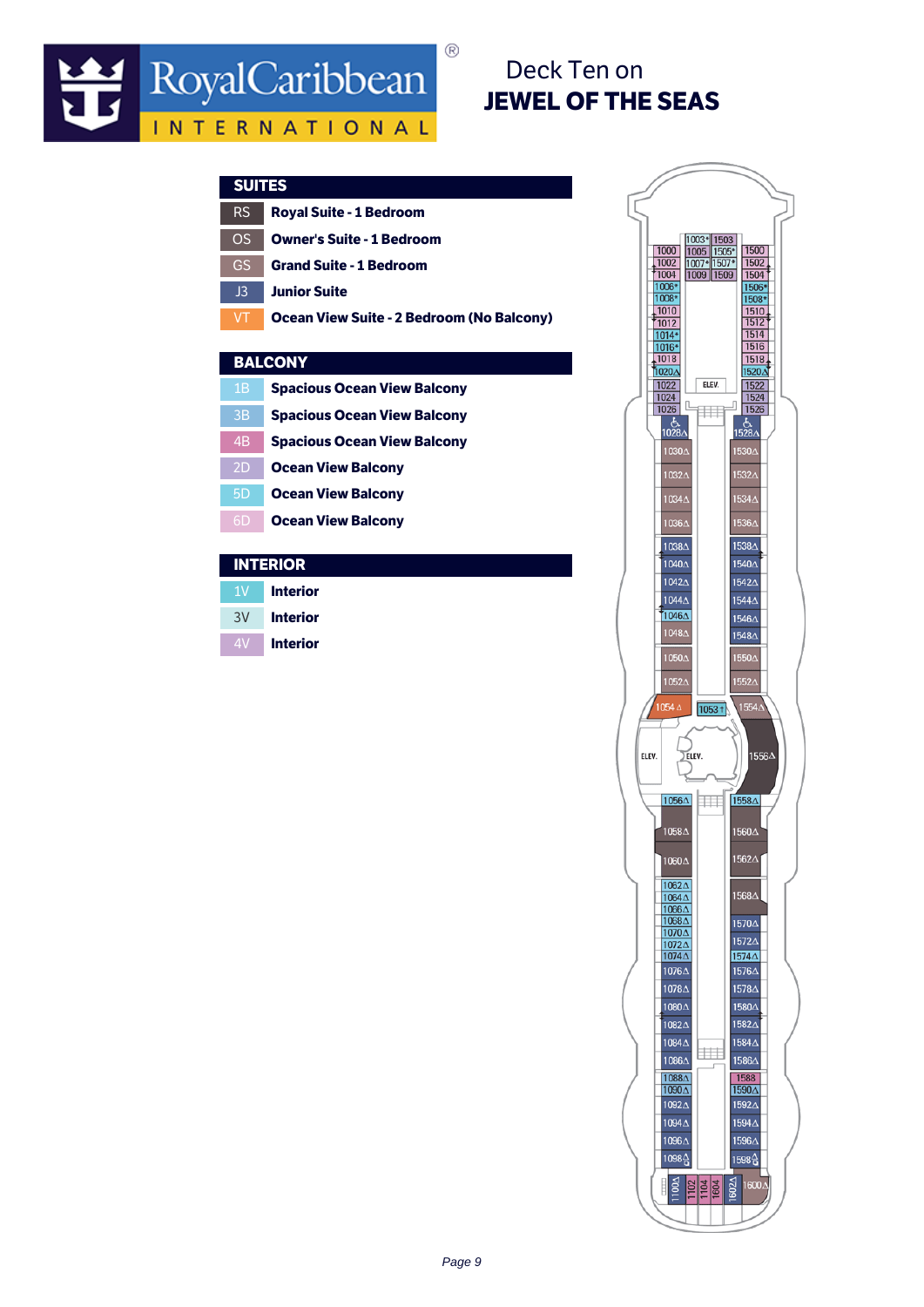## Deck Ten on JEWEL OF THE SEAS

| JUI LJ         |                                           |
|----------------|-------------------------------------------|
| <b>RS</b>      | <b>Royal Suite - 1 Bedroom</b>            |
| OS             | <b>Owner's Suite - 1 Bedroom</b>          |
| GS             | <b>Grand Suite - 1 Bedroom</b>            |
| J3             | <b>Junior Suite</b>                       |
| VT             | Ocean View Suite - 2 Bedroom (No Balcony) |
|                |                                           |
|                | <b>BALCONY</b>                            |
| 1B             | <b>Spacious Ocean View Balcony</b>        |
| 3B             | <b>Spacious Ocean View Balcony</b>        |
| 4 <sub>B</sub> | <b>Spacious Ocean View Balcony</b>        |
| 2D             | <b>Ocean View Balcony</b>                 |
| 5 <sub>D</sub> | <b>Ocean View Balcony</b>                 |
| 6D             | <b>Ocean View Balcony</b>                 |
|                |                                           |

 $\circledR$ 

### INTERIOR

1V Interior 3V Interior

4V Interior

1003\* 1503<br>1005 1505\*<br>1007\* 1507\*<br>1009 1509 1000 1500 1500<br>
1502<br>
1504<br>
1506\*<br>
1508\*<br>
1510<br>
1512<br>
1514<br>
1516  $\begin{array}{r}\n 1000 \\
 \hline\n 1002 \\
 \hline\n 1004 \\
 \hline\n 1006\n \end{array}$  $\begin{array}{r}\n 1008* \\
 \hline\n 1010 \\
 \hline\n 1012 \\
 \hline\n 1016* \\
 \hline\n 1018 \\
 \hline\n 1020 \Delta\n \end{array}$  $\frac{1616}{1518}$ 1520 A  $\frac{1022}{1024}$  $\frac{1522}{1524}$ ELEV.  $\frac{1}{\sqrt{1}}$ ŋ  $\frac{1}{1028}$  $\frac{1}{1528\Delta}$ 1030/ 15304 1032/ 10344  $1534\Delta$ 1536∆ 10364 10384 1538 $\triangle$ 1040 $\triangle$ 1540 $\triangle$ 10424 15424 10444 1544 $\triangle$ 1046 $\Delta$ 1546 $\Delta$ 1048/ 1548 $\Delta$ 10504 1550 $\triangle$ 1052/  $1552\triangle$  $1554\Delta$  $\sqrt{1053 + }$  $\sum$ ELEV. 1556A ELEV.  $1056\Delta$ m 1558A 1058A 1560∆ 1562A 1060A 1062A 1568 $\triangle$  $\frac{1064\Delta}{1066\Delta}$ 1570 $\Delta$  $\frac{1000\Delta}{1070\Delta}$ <br> $\frac{1072\Delta}{1074\Delta}$ 1572 $\Delta$ 1574 $\triangle$ 10764 1576∆ 10784 1578 $\Delta$ 10804 1580 $\Delta$ 10824 1582 $\triangle$ 1084 $\Delta$ 1584 $\Delta$ l⊞ 10864 1586 $\triangle$  $\frac{1088 \Delta}{1090 \Delta}$  $\begin{array}{|c|c|}\hline &1588\ \hline 1590\Delta \end{array}$ 10924 15924 10944 1594 $\triangle$ 10964 1596 $\triangle$ 1098심 1598 습 E 3 1600A  $1100\Delta$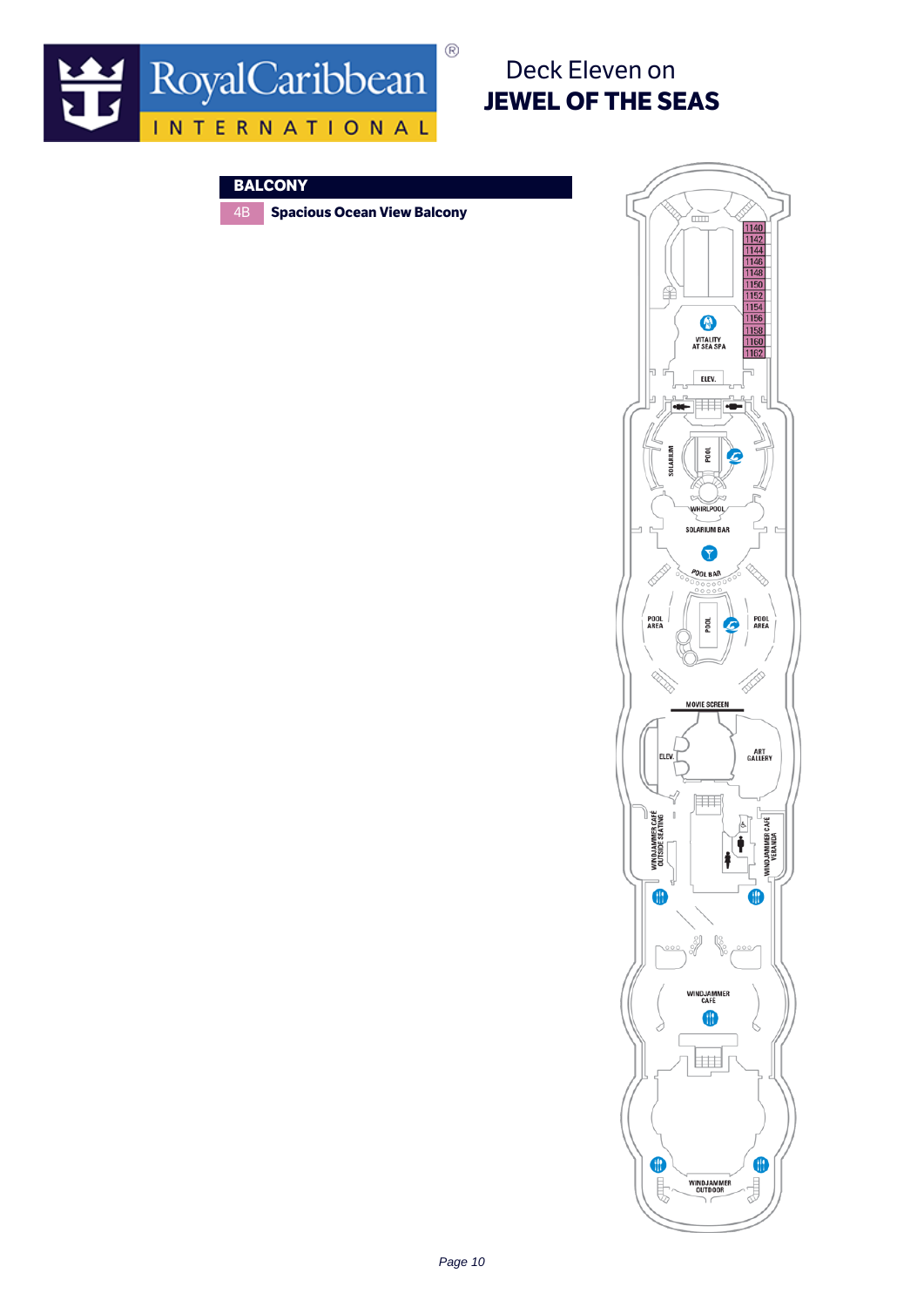

## Deck Eleven on JEWEL OF THE SEAS

### **BALCONY**

4B Spacious Ocean View Balcony

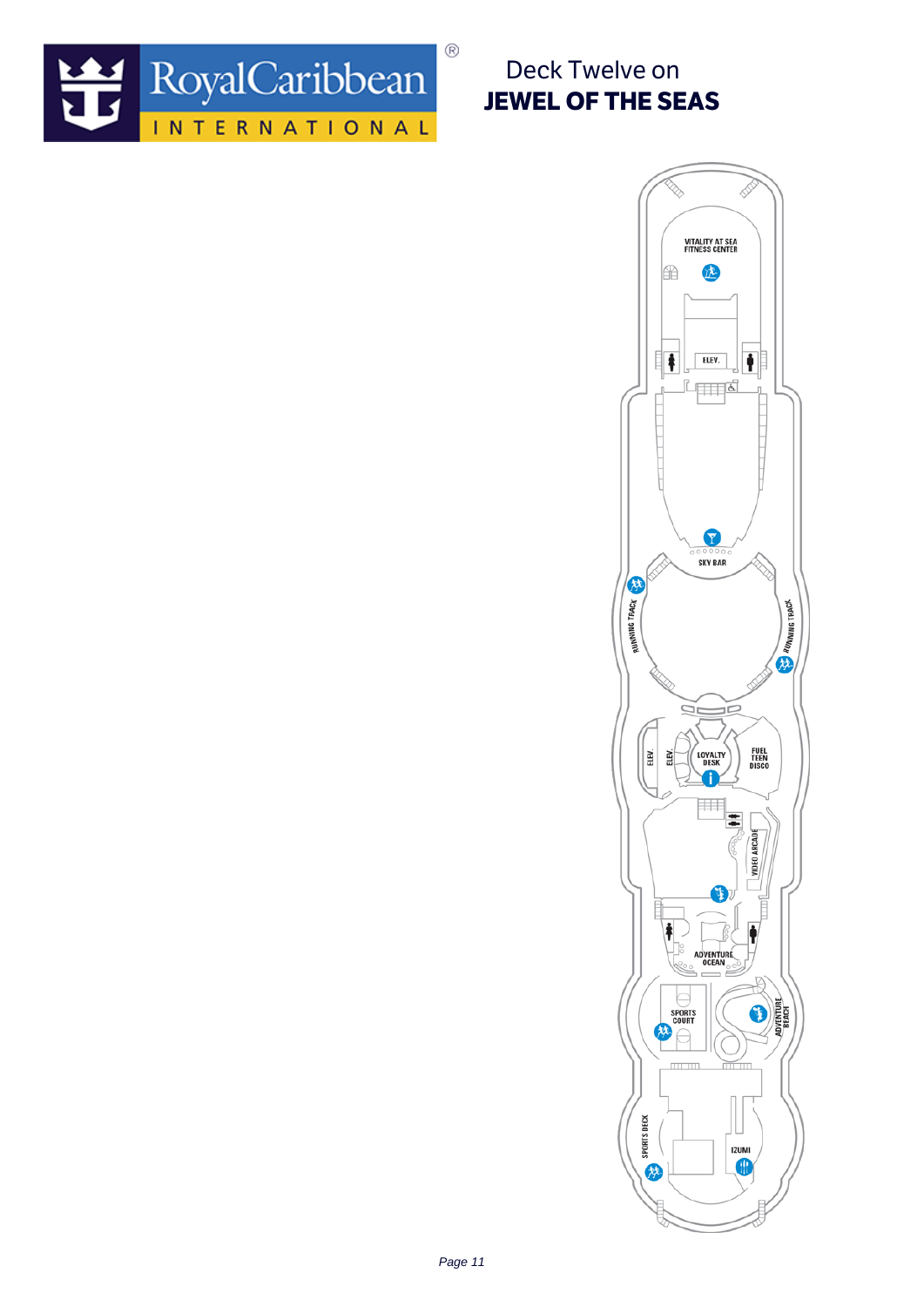

Deck Twelve on JEWEL OF THE SEAS